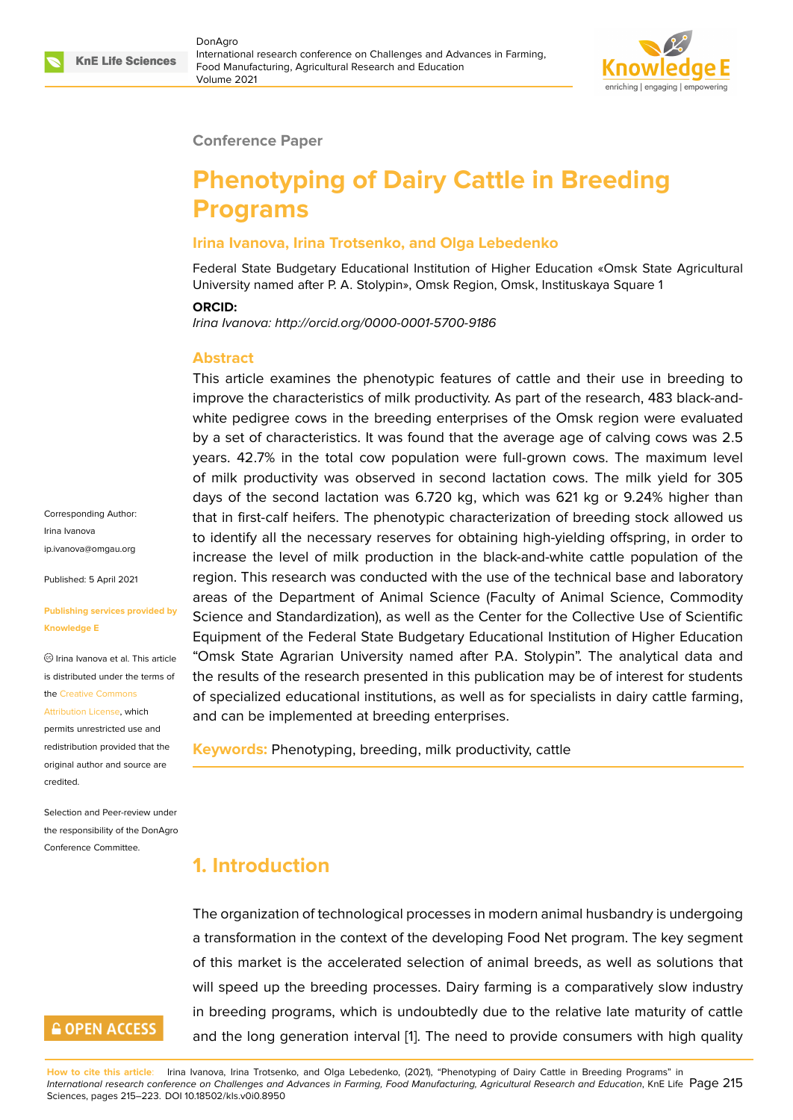

#### **Conference Paper**

# **Phenotyping of Dairy Cattle in Breeding Programs**

#### **Irina Ivanova, Irina Trotsenko, and Olga Lebedenko**

Federal State Budgetary Educational Institution of Higher Education «Omsk State Agricultural University named after P. A. Stolypin», Omsk Region, Omsk, Instituskaya Square 1

#### **ORCID:**

*Irina Ivanova: http://orcid.org/0000-0001-5700-9186*

#### **Abstract**

This article examines the phenotypic features of cattle and their use in breeding to improve the characteristics of milk productivity. As part of the research, 483 black-andwhite pedigree cows in the breeding enterprises of the Omsk region were evaluated by a set of characteristics. It was found that the average age of calving cows was 2.5 years. 42.7% in the total cow population were full-grown cows. The maximum level of milk productivity was observed in second lactation cows. The milk yield for 305 days of the second lactation was 6.720 kg, which was 621 kg or 9.24% higher than that in first-calf heifers. The phenotypic characterization of breeding stock allowed us to identify all the necessary reserves for obtaining high-yielding offspring, in order to increase the level of milk production in the black-and-white cattle population of the region. This research was conducted with the use of the technical base and laboratory areas of the Department of Animal Science (Faculty of Animal Science, Commodity Science and Standardization), as well as the Center for the Collective Use of Scientific Equipment of the Federal State Budgetary Educational Institution of Higher Education "Omsk State Agrarian University named after P.A. Stolypin". The analytical data and the results of the research presented in this publication may be of interest for students of specialized educational institutions, as well as for specialists in dairy cattle farming, and can be implemented at breeding enterprises.

**Keywords:** Phenotyping, breeding, milk productivity, cattle

## Irina Ivanova ip.ivanova@omgau.org

Corresponding Author:

Published: 5 April 2021

#### **[Publishing services pr](mailto:ip.ivanova@omgau.org)ovided by Knowledge E**

 $\circledcirc$  Irina Ivanova et al. This article is distributed under the terms of the Creative Commons

#### Attribution License, which

permits unrestricted use and redistribution provided that the orig[inal author and sou](https://creativecommons.org/licenses/by/4.0/)rce are [credited.](https://creativecommons.org/licenses/by/4.0/)

Selection and Peer-review under the responsibility of the DonAgro Conference Committee.

**GOPEN ACCESS** 

## **1. Introduction**

The organization of technological processes in modern animal husbandry is undergoing a transformation in the context of the developing Food Net program. The key segment of this market is the accelerated selection of animal breeds, as well as solutions that will speed up the breeding processes. Dairy farming is a comparatively slow industry in breeding programs, which is undoubtedly due to the relative late maturity of cattle and the long generation interval [1]. The need to provide consumers with high quality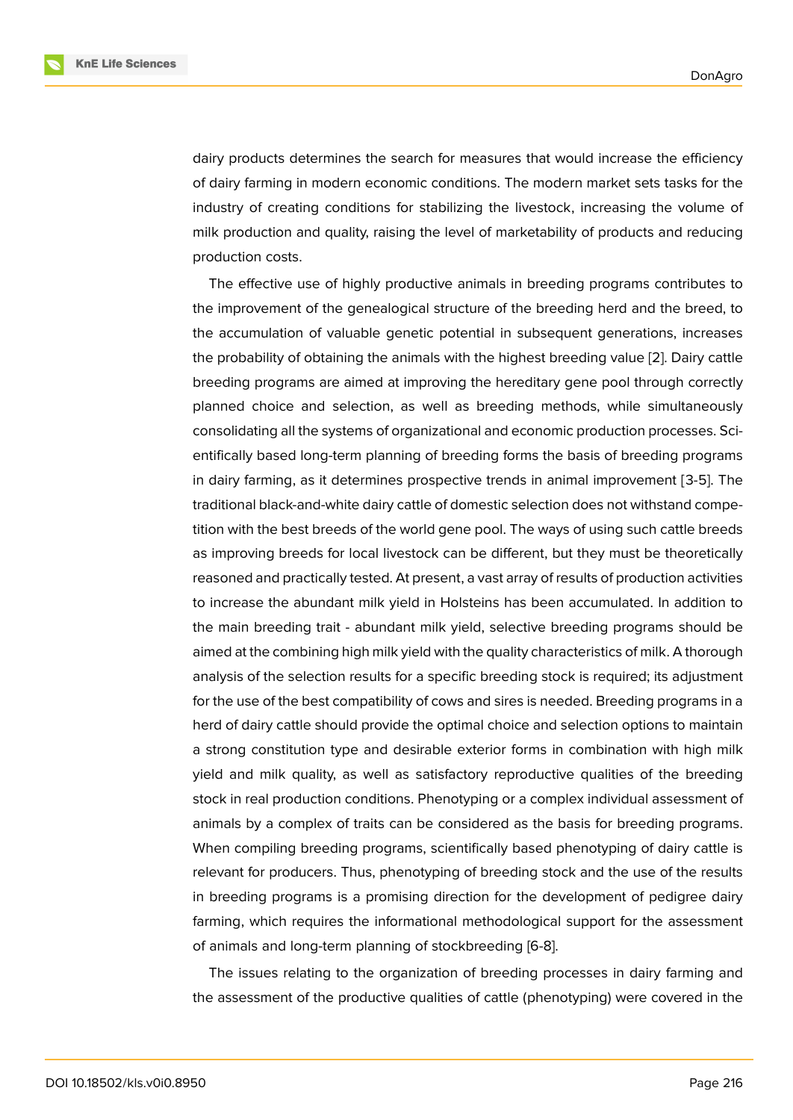dairy products determines the search for measures that would increase the efficiency of dairy farming in modern economic conditions. The modern market sets tasks for the industry of creating conditions for stabilizing the livestock, increasing the volume of milk production and quality, raising the level of marketability of products and reducing production costs.

The effective use of highly productive animals in breeding programs contributes to the improvement of the genealogical structure of the breeding herd and the breed, to the accumulation of valuable genetic potential in subsequent generations, increases the probability of obtaining the animals with the highest breeding value [2]. Dairy cattle breeding programs are aimed at improving the hereditary gene pool through correctly planned choice and selection, as well as breeding methods, while simultaneously consolidating all the systems of organizational and economic production [pr](#page-7-0)ocesses. Scientifically based long-term planning of breeding forms the basis of breeding programs in dairy farming, as it determines prospective trends in animal improvement [3-5]. The traditional black-and-white dairy cattle of domestic selection does not withstand competition with the best breeds of the world gene pool. The ways of using such cattle breeds as improving breeds for local livestock can be different, but they must be theoretically reasoned and practically tested. At present, a vast array of results of production activities to increase the abundant milk yield in Holsteins has been accumulated. In addition to the main breeding trait - abundant milk yield, selective breeding programs should be aimed at the combining high milk yield with the quality characteristics of milk. A thorough analysis of the selection results for a specific breeding stock is required; its adjustment for the use of the best compatibility of cows and sires is needed. Breeding programs in a herd of dairy cattle should provide the optimal choice and selection options to maintain a strong constitution type and desirable exterior forms in combination with high milk yield and milk quality, as well as satisfactory reproductive qualities of the breeding stock in real production conditions. Phenotyping or a complex individual assessment of animals by a complex of traits can be considered as the basis for breeding programs. When compiling breeding programs, scientifically based phenotyping of dairy cattle is relevant for producers. Thus, phenotyping of breeding stock and the use of the results in breeding programs is a promising direction for the development of pedigree dairy farming, which requires the informational methodological support for the assessment of animals and long-term planning of stockbreeding [6-8].

The issues relating to the organization of breeding processes in dairy farming and the assessment of the productive qualities of cattle (phenotyping) were covered in the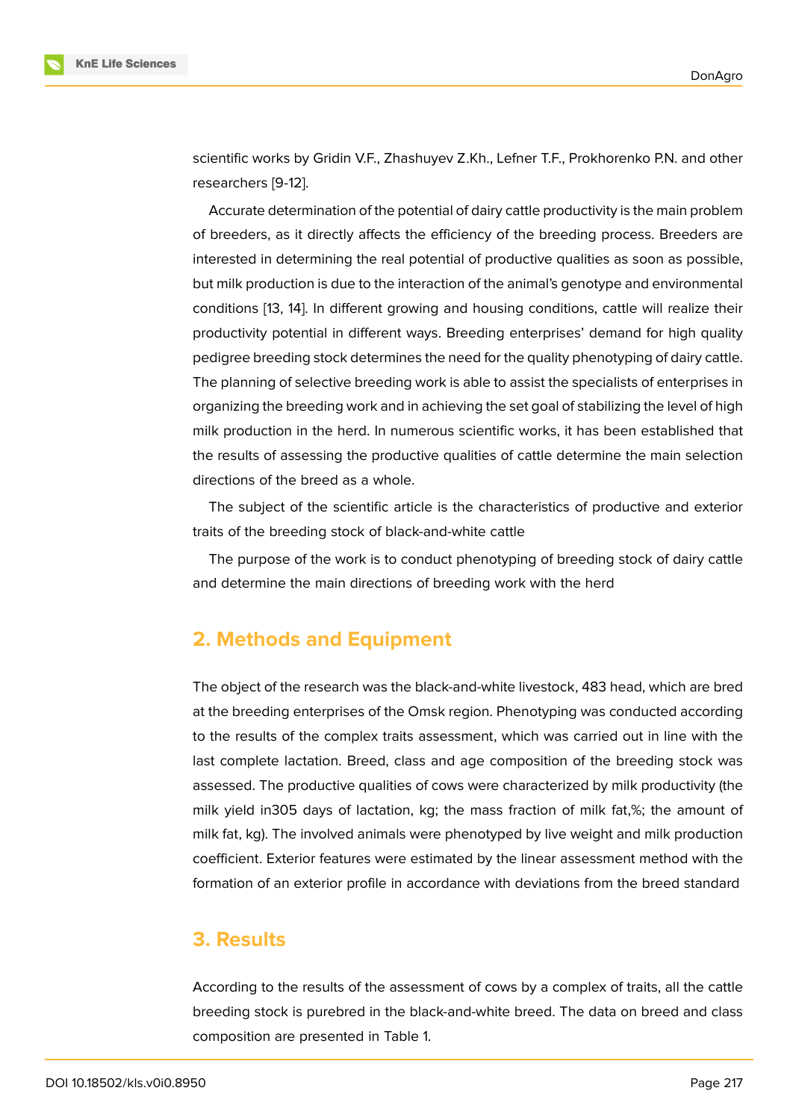scientific works by Gridin V.F., Zhashuyev Z.Kh., Lefner T.F., Prokhorenko P.N. and other researchers [9-12].

Accurate determination of the potential of dairy cattle productivity is the main problem of breeders, as it directly affects the efficiency of the breeding process. Breeders are interested in determining the real potential of productive qualities as soon as possible, but milk production is due to the interaction of the animal's genotype and environmental conditions [13, 14]. In different growing and housing conditions, cattle will realize their productivity potential in different ways. Breeding enterprises' demand for high quality pedigree breeding stock determines the need for the quality phenotyping of dairy cattle. The planni[ng o](#page-8-0)[f s](#page-8-1)elective breeding work is able to assist the specialists of enterprises in organizing the breeding work and in achieving the set goal of stabilizing the level of high milk production in the herd. In numerous scientific works, it has been established that the results of assessing the productive qualities of cattle determine the main selection directions of the breed as a whole.

The subject of the scientific article is the characteristics of productive and exterior traits of the breeding stock of black-and-white cattle

The purpose of the work is to conduct phenotyping of breeding stock of dairy cattle and determine the main directions of breeding work with the herd

### **2. Methods and Equipment**

The object of the research was the black-and-white livestock, 483 head, which are bred at the breeding enterprises of the Omsk region. Phenotyping was conducted according to the results of the complex traits assessment, which was carried out in line with the last complete lactation. Breed, class and age composition of the breeding stock was assessed. The productive qualities of cows were characterized by milk productivity (the milk yield in305 days of lactation, kg; the mass fraction of milk fat,%; the amount of milk fat, kg). The involved animals were phenotyped by live weight and milk production coefficient. Exterior features were estimated by the linear assessment method with the formation of an exterior profile in accordance with deviations from the breed standard

### **3. Results**

According to the results of the assessment of cows by a complex of traits, all the cattle breeding stock is purebred in the black-and-white breed. The data on breed and class composition are presented in Table 1.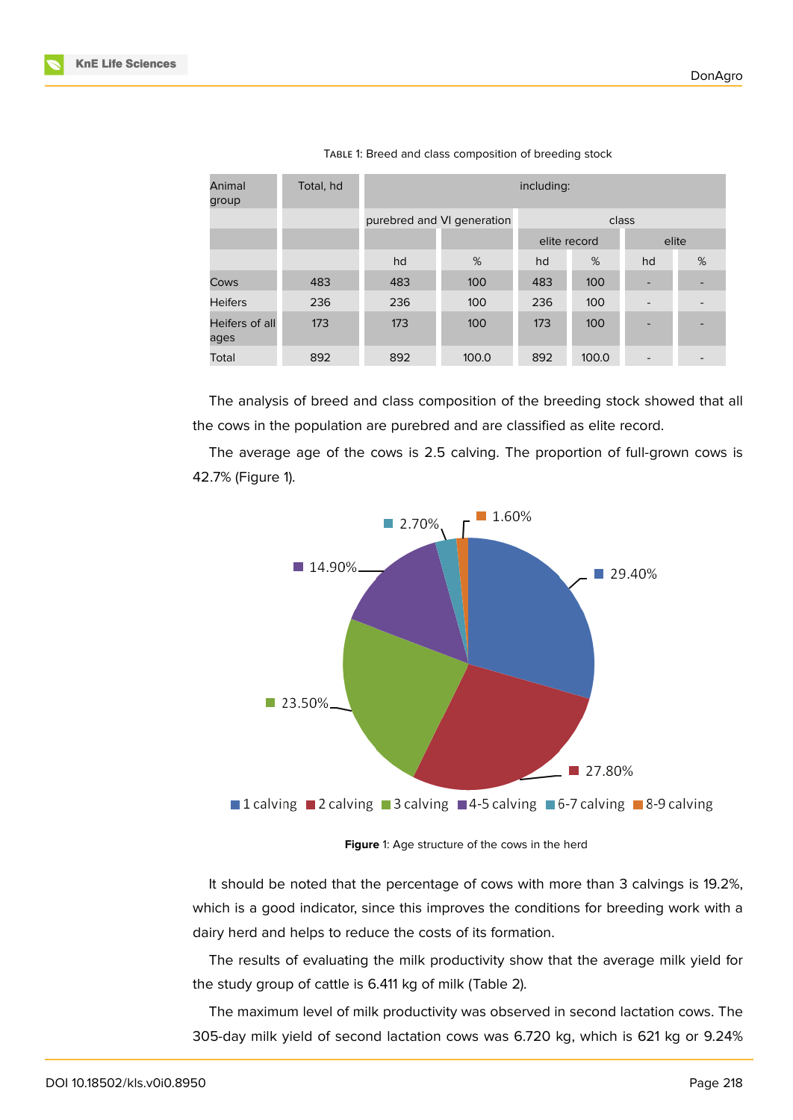| Animal<br>group        | Total, hd | including:                 |       |       |              |                          |   |
|------------------------|-----------|----------------------------|-------|-------|--------------|--------------------------|---|
|                        |           | purebred and VI generation |       | class |              |                          |   |
|                        |           |                            |       |       | elite record | elite                    |   |
|                        |           | hd                         | %     | hd    | %            | hd                       | % |
| Cows                   | 483       | 483                        | 100   | 483   | 100          |                          |   |
| <b>Heifers</b>         | 236       | 236                        | 100   | 236   | 100          |                          |   |
| Heifers of all<br>ages | 173       | 173                        | 100   | 173   | 100          |                          |   |
| Total                  | 892       | 892                        | 100.0 | 892   | 100.0        | $\overline{\phantom{a}}$ |   |

TABLE 1: Breed and class composition of breeding stock

The analysis of breed and class composition of the breeding stock showed that all the cows in the population are purebred and are classified as elite record.

The average age of the cows is 2.5 calving. The proportion of full-grown cows is 42.7% (Figure 1).



**Figure** 1: Age structure of the cows in the herd

It should be noted that the percentage of cows with more than 3 calvings is 19.2%, which is a good indicator, since this improves the conditions for breeding work with a dairy herd and helps to reduce the costs of its formation.

The results of evaluating the milk productivity show that the average milk yield for the study group of cattle is 6.411 kg of milk (Table 2).

The maximum level of milk productivity was observed in second lactation cows. The 305-day milk yield of second lactation cows was 6.720 kg, which is 621 kg or 9.24%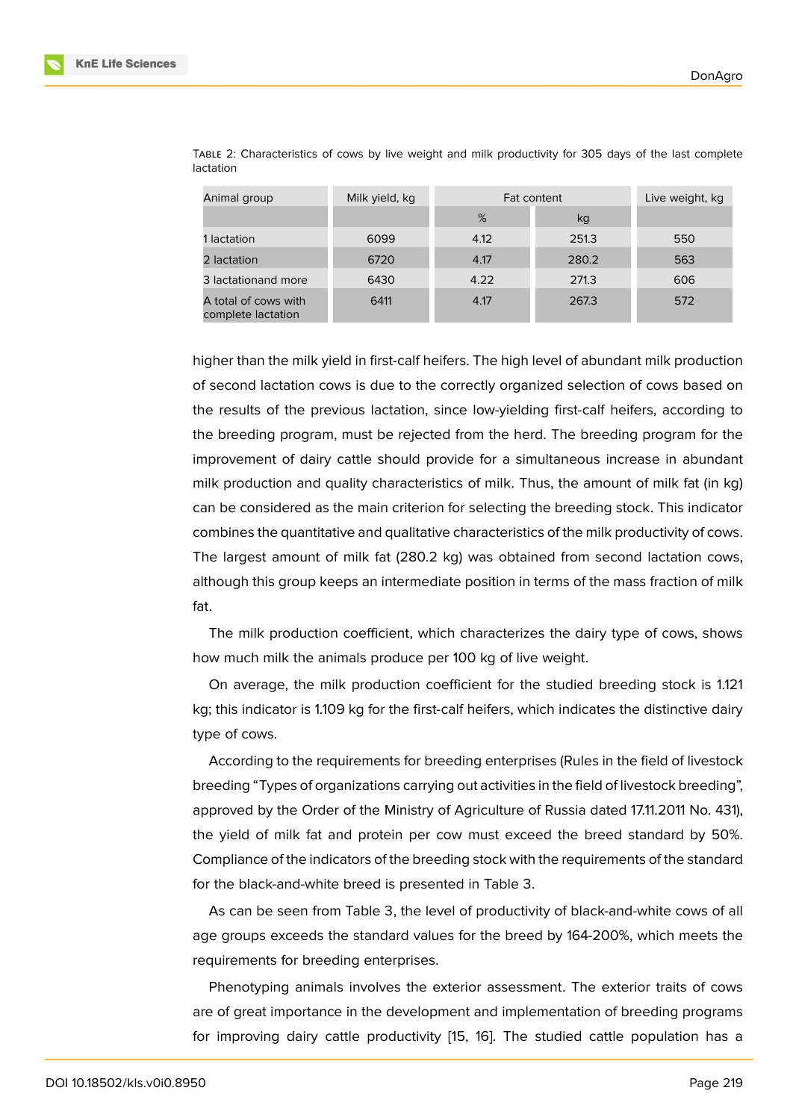| Animal group                               | Milk yield, kg | Fat content |       | Live weight, kg |
|--------------------------------------------|----------------|-------------|-------|-----------------|
|                                            |                | %           | kg    |                 |
| 1 lactation                                | 6099           | 4.12        | 251.3 | 550             |
| 2 lactation                                | 6720           | 4.17        | 280.2 | 563             |
| 3 lactationand more                        | 6430           | 4.22        | 271.3 | 606             |
| A total of cows with<br>complete lactation | 6411           | 4.17        | 267.3 | 572             |

TABLE 2: Characteristics of cows by live weight and milk productivity for 305 days of the last complete lactation

higher than the milk yield in first-calf heifers. The high level of abundant milk production of second lactation cows is due to the correctly organized selection of cows based on the results of the previous lactation, since low-yielding first-calf heifers, according to the breeding program, must be rejected from the herd. The breeding program for the improvement of dairy cattle should provide for a simultaneous increase in abundant milk production and quality characteristics of milk. Thus, the amount of milk fat (in kg) can be considered as the main criterion for selecting the breeding stock. This indicator combines the quantitative and qualitative characteristics of the milk productivity of cows. The largest amount of milk fat (280.2 kg) was obtained from second lactation cows, although this group keeps an intermediate position in terms of the mass fraction of milk fat.

The milk production coefficient, which characterizes the dairy type of cows, shows how much milk the animals produce per 100 kg of live weight.

On average, the milk production coefficient for the studied breeding stock is 1.121 kg; this indicator is 1.109 kg for the first-calf heifers, which indicates the distinctive dairy type of cows.

According to the requirements for breeding enterprises (Rules in the field of livestock breeding "Types of organizations carrying out activities in the field of livestock breeding", approved by the Order of the Ministry of Agriculture of Russia dated 17.11.2011 No. 431), the yield of milk fat and protein per cow must exceed the breed standard by 50%. Compliance of the indicators of the breeding stock with the requirements of the standard for the black-and-white breed is presented in Table 3.

As can be seen from Table 3, the level of productivity of black-and-white cows of all age groups exceeds the standard values for the breed by 164-200%, which meets the requirements for breeding enterprises.

Phenotyping animals involves the exterior assessment. The exterior traits of cows are of great importance in the development and implementation of breeding programs for improving dairy cattle productivity [15, 16]. The studied cattle population has a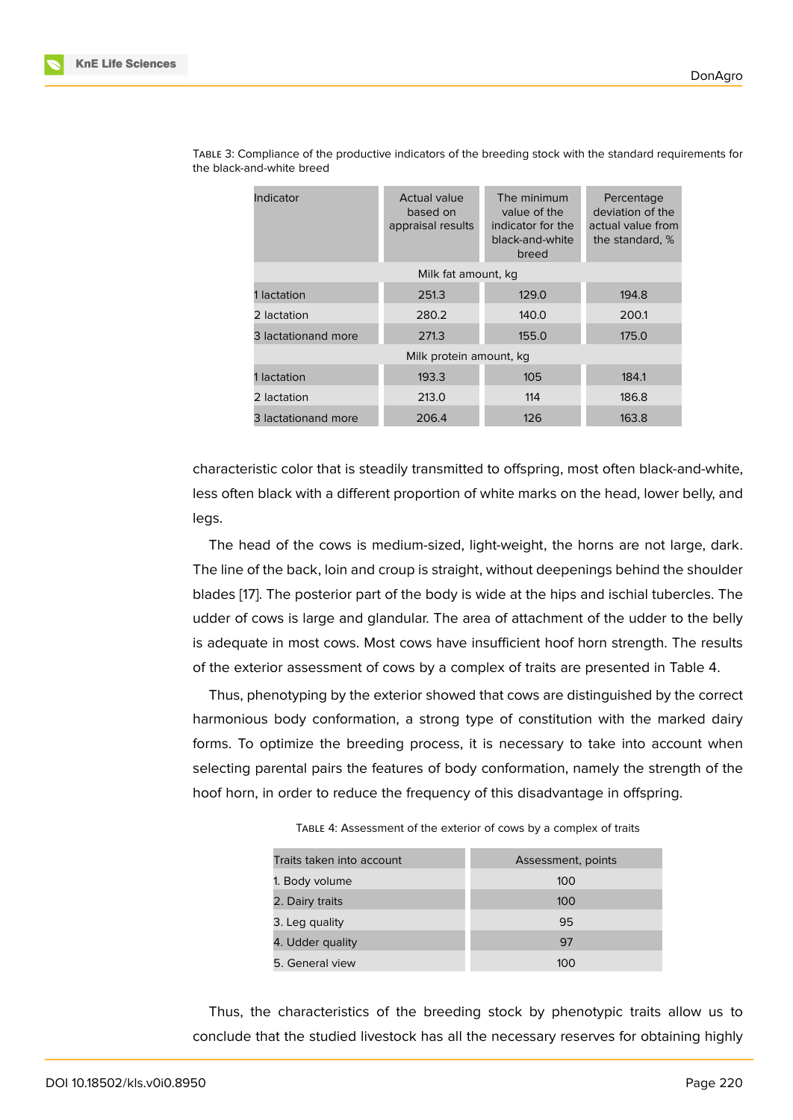| Indicator               | Actual value<br>based on<br>appraisal results | The minimum<br>value of the<br>indicator for the<br>black-and-white<br>breed | Percentage<br>deviation of the<br>actual value from<br>the standard, % |  |
|-------------------------|-----------------------------------------------|------------------------------------------------------------------------------|------------------------------------------------------------------------|--|
| Milk fat amount, kg     |                                               |                                                                              |                                                                        |  |
| 1 lactation             | 251.3                                         | 129.0                                                                        | 194.8                                                                  |  |
| 2 lactation             | 280.2                                         | 140.0                                                                        | 200.1                                                                  |  |
| 3 lactationand more     | 271.3                                         | 155.0                                                                        | 175.0                                                                  |  |
| Milk protein amount, kg |                                               |                                                                              |                                                                        |  |
| 1 lactation             | 193.3                                         | 105                                                                          | 184.1                                                                  |  |
| 2 lactation             | 213.0                                         | 114                                                                          | 186.8                                                                  |  |
| 3 lactationand more     | 206.4                                         | 126                                                                          | 163.8                                                                  |  |

TABLE 3: Compliance of the productive indicators of the breeding stock with the standard requirements for the black-and-white breed

characteristic color that is steadily transmitted to offspring, most often black-and-white, less often black with a different proportion of white marks on the head, lower belly, and legs.

The head of the cows is medium-sized, light-weight, the horns are not large, dark. The line of the back, loin and croup is straight, without deepenings behind the shoulder blades [17]. The posterior part of the body is wide at the hips and ischial tubercles. The udder of cows is large and glandular. The area of attachment of the udder to the belly is adequate in most cows. Most cows have insufficient hoof horn strength. The results of the e[xte](#page-8-2)rior assessment of cows by a complex of traits are presented in Table 4.

Thus, phenotyping by the exterior showed that cows are distinguished by the correct harmonious body conformation, a strong type of constitution with the marked dairy forms. To optimize the breeding process, it is necessary to take into account when selecting parental pairs the features of body conformation, namely the strength of the hoof horn, in order to reduce the frequency of this disadvantage in offspring.

| TABLE 4: Assessment of the exterior of cows by a complex of traits |  |  |  |
|--------------------------------------------------------------------|--|--|--|
|--------------------------------------------------------------------|--|--|--|

| Traits taken into account | Assessment, points |
|---------------------------|--------------------|
| 1. Body volume            | 100                |
| 2. Dairy traits           | 100                |
| 3. Leg quality            | 95                 |
| 4. Udder quality          | 97                 |
| 5. General view           | 100                |

Thus, the characteristics of the breeding stock by phenotypic traits allow us to conclude that the studied livestock has all the necessary reserves for obtaining highly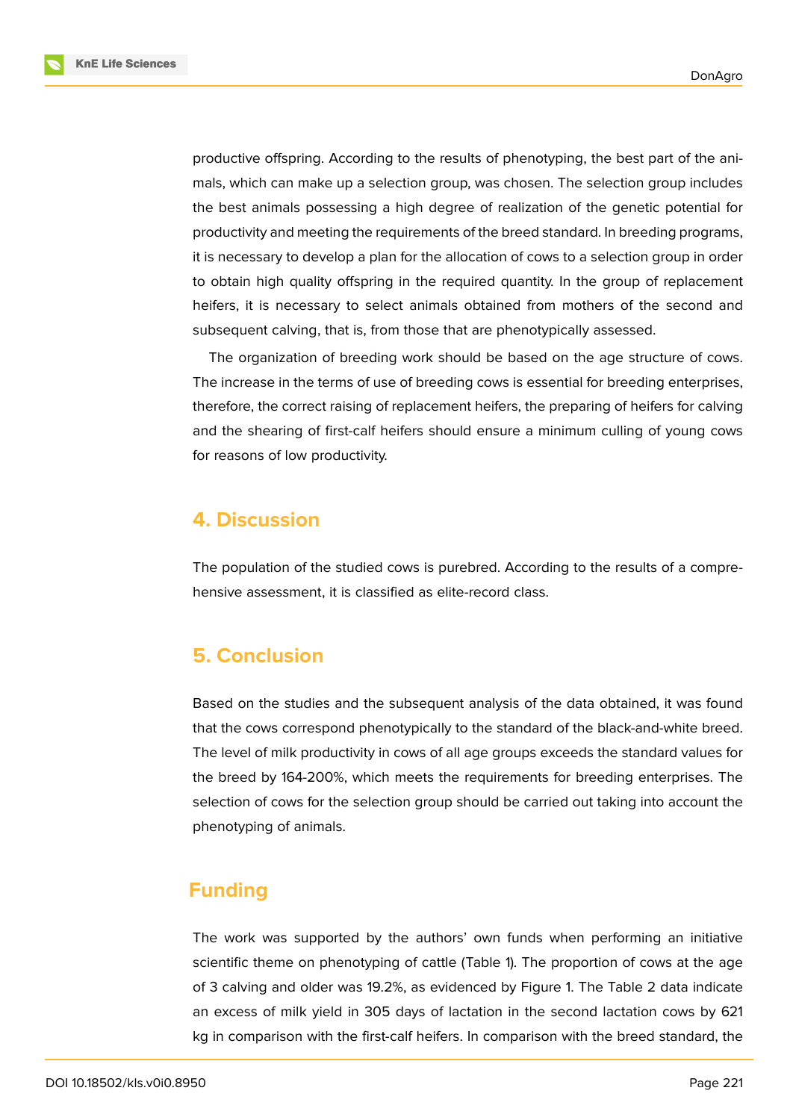productive offspring. According to the results of phenotyping, the best part of the animals, which can make up a selection group, was chosen. The selection group includes the best animals possessing a high degree of realization of the genetic potential for productivity and meeting the requirements of the breed standard. In breeding programs, it is necessary to develop a plan for the allocation of cows to a selection group in order to obtain high quality offspring in the required quantity. In the group of replacement heifers, it is necessary to select animals obtained from mothers of the second and subsequent calving, that is, from those that are phenotypically assessed.

The organization of breeding work should be based on the age structure of cows. The increase in the terms of use of breeding cows is essential for breeding enterprises, therefore, the correct raising of replacement heifers, the preparing of heifers for calving and the shearing of first-calf heifers should ensure a minimum culling of young cows for reasons of low productivity.

#### **4. Discussion**

The population of the studied cows is purebred. According to the results of a comprehensive assessment, it is classified as elite-record class.

### **5. Conclusion**

Based on the studies and the subsequent analysis of the data obtained, it was found that the cows correspond phenotypically to the standard of the black-and-white breed. The level of milk productivity in cows of all age groups exceeds the standard values for the breed by 164-200%, which meets the requirements for breeding enterprises. The selection of cows for the selection group should be carried out taking into account the phenotyping of animals.

### **Funding**

The work was supported by the authors' own funds when performing an initiative scientific theme on phenotyping of cattle (Table 1). The proportion of cows at the age of 3 calving and older was 19.2%, as evidenced by Figure 1. The Table 2 data indicate an excess of milk yield in 305 days of lactation in the second lactation cows by 621 kg in comparison with the first-calf heifers. In comparison with the breed standard, the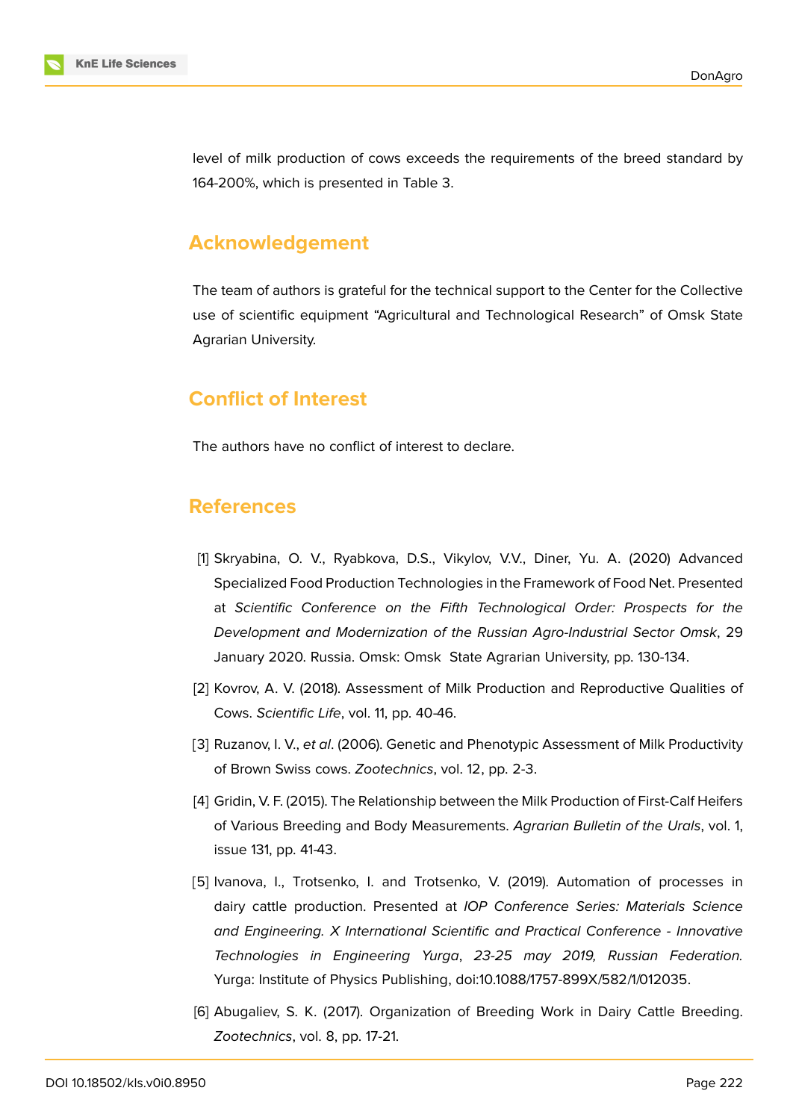

level of milk production of cows exceeds the requirements of the breed standard by 164-200%, which is presented in Table 3.

### **Acknowledgement**

The team of authors is grateful for the technical support to the Center for the Collective use of scientific equipment "Agricultural and Technological Research" of Omsk State Agrarian University.

### **Conflict of Interest**

The authors have no conflict of interest to declare.

#### **References**

- [1] Skryabina, O. V., Ryabkova, D.S., Vikylov, V.V., Diner, Yu. A. (2020) Advanced Specialized Food Production Technologies in the Framework of Food Net. Presented at *Scientific Conference on the Fifth Technological Order: Prospects for the Development and Modernization of the Russian Agro-Industrial Sector Omsk*, 29 January 2020. Russia. Omsk: Omsk State Agrarian University, pp. 130-134.
- <span id="page-7-0"></span>[2] Kovrov, A. V. (2018). Assessment of Milk Production and Reproductive Qualities of Cows. *Scientific Life*, vol. 11, pp. 40-46.
- [3] Ruzanov, I. V., *et al*. (2006). Genetic and Phenotypic Assessment of Milk Productivity of Brown Swiss cows. *Zootechnics*, vol. 12, pp. 2-3.
- [4] Gridin, V. F. (2015). The Relationship between the Milk Production of First-Calf Heifers of Various Breeding and Body Measurements. *Agrarian Bulletin of the Urals*, vol. 1, issue 131, pp. 41-43.
- [5] Ivanova, I., Trotsenko, I. and Trotsenko, V. (2019). Automation of processes in dairy cattle production. Presented at *IOP Conference Series: Materials Science and Engineering. X International Scientific and Practical Conference - Innovative Technologies in Engineering Yurga*, *23-25 may 2019, Russian Federation.* Yurga: Institute of Physics Publishing, doi:10.1088/1757-899X/582/1/012035.
- [6] Abugaliev, S. K. (2017). Organization of Breeding Work in Dairy Cattle Breeding. *Zootechnics*, vol. 8, pp. 17-21.